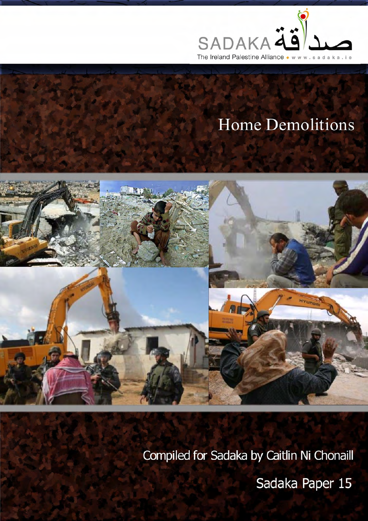

## **Home Demolitions**



Compiled for Sadaka by Caitlin Ni Chonaill

Sadaka Paper 15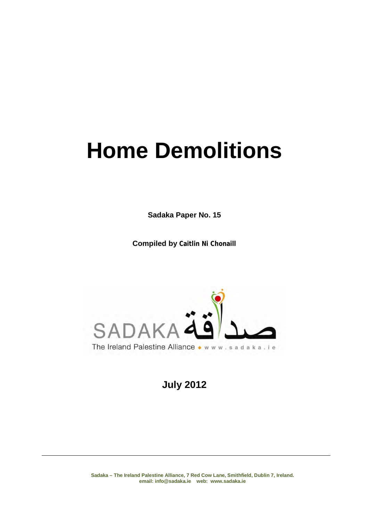# **Home Demolitions**

**Sadaka Paper No. 15** 

**Compiled by Caitlin Ni Chonaill**



**July 2012**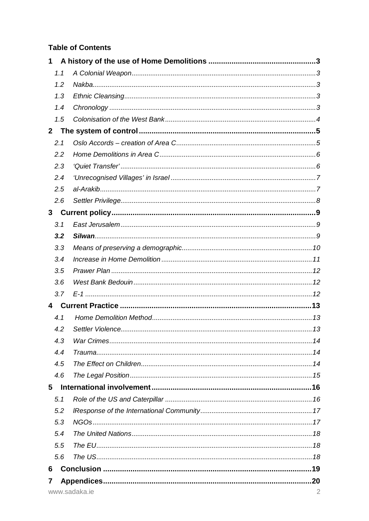## **Table of Contents**

| 1                               |  |  |  |  |  |  |
|---------------------------------|--|--|--|--|--|--|
| 1.1                             |  |  |  |  |  |  |
| 1.2                             |  |  |  |  |  |  |
| 1.3                             |  |  |  |  |  |  |
| 1.4                             |  |  |  |  |  |  |
| 1.5                             |  |  |  |  |  |  |
| 2 <sup>1</sup>                  |  |  |  |  |  |  |
| 2.1                             |  |  |  |  |  |  |
| 2.2                             |  |  |  |  |  |  |
| 2.3                             |  |  |  |  |  |  |
| 2.4                             |  |  |  |  |  |  |
| 2.5                             |  |  |  |  |  |  |
| 2.6                             |  |  |  |  |  |  |
| 3                               |  |  |  |  |  |  |
| 3.1                             |  |  |  |  |  |  |
| 3.2                             |  |  |  |  |  |  |
| 3.3                             |  |  |  |  |  |  |
| 3.4                             |  |  |  |  |  |  |
| 3.5                             |  |  |  |  |  |  |
| 3.6                             |  |  |  |  |  |  |
| 3.7                             |  |  |  |  |  |  |
| 4                               |  |  |  |  |  |  |
| 4.1                             |  |  |  |  |  |  |
| 4.2                             |  |  |  |  |  |  |
| 4.3                             |  |  |  |  |  |  |
| 4.4                             |  |  |  |  |  |  |
| 4.5                             |  |  |  |  |  |  |
| 4.6                             |  |  |  |  |  |  |
| 5                               |  |  |  |  |  |  |
| 5.1                             |  |  |  |  |  |  |
| 5.2                             |  |  |  |  |  |  |
| 5.3                             |  |  |  |  |  |  |
| 5.4                             |  |  |  |  |  |  |
| 5.5                             |  |  |  |  |  |  |
| 5.6                             |  |  |  |  |  |  |
| 6                               |  |  |  |  |  |  |
| 7                               |  |  |  |  |  |  |
| www.sadaka.ie<br>$\overline{2}$ |  |  |  |  |  |  |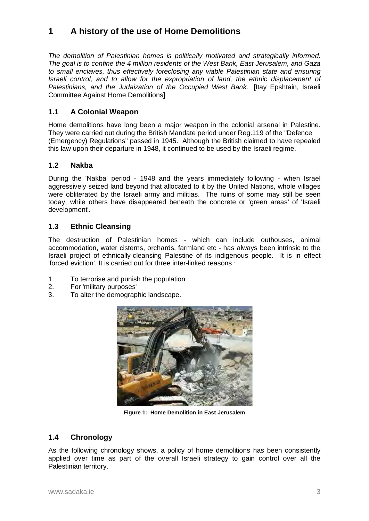## <span id="page-3-0"></span>**1 A history of the use of Home Demolitions**

*The demolition of Palestinian homes is politically motivated and strategically informed. The goal is to confine the 4 million residents of the West Bank, East Jerusalem, and Gaza to small enclaves, thus effectively foreclosing any viable Palestinian state and ensuring Israeli control, and to allow for the expropriation of land, the ethnic displacement of Palestinians, and the Judaization of the Occupied West Bank.* [Itay Epshtain, Israeli Committee Against Home Demolitions]

## <span id="page-3-1"></span>**1.1 A Colonial Weapon**

Home demolitions have long been a major weapon in the colonial arsenal in Palestine. They were carried out during the British Mandate period under Reg.119 of the "Defence (Emergency) Regulations" passed in 1945. Although the British claimed to have repealed this law upon their departure in 1948, it continued to be used by the Israeli regime.

## <span id="page-3-2"></span>**1.2 Nakba**

During the 'Nakba' period - 1948 and the years immediately following - when Israel aggressively seized land beyond that allocated to it by the United Nations, whole villages were obliterated by the Israeli army and militias. The ruins of some may still be seen today, while others have disappeared beneath the concrete or 'green areas' of 'Israeli development'.

## <span id="page-3-3"></span>**1.3 Ethnic Cleansing**

The destruction of Palestinian homes - which can include outhouses, animal accommodation, water cisterns, orchards, farmland etc - has always been intrinsic to the Israeli project of ethnically-cleansing Palestine of its indigenous people. It is in effect 'forced eviction'. It is carried out for three inter-linked reasons :

- 1. To terrorise and punish the population
- 2. For 'military purposes'
- To alter the demographic landscape.



**Figure 1: Home Demolition in East Jerusalem**

## <span id="page-3-4"></span>**1.4 Chronology**

As the following chronology shows, a policy of home demolitions has been consistently applied over time as part of the overall Israeli strategy to gain control over all the Palestinian territory.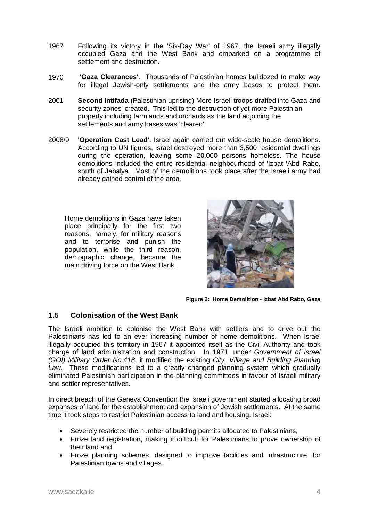- 1967 Following its victory in the 'Six-Day War' of 1967, the Israeli army illegally occupied Gaza and the West Bank and embarked on a programme of settlement and destruction.
- 1970 **'Gaza Clearances'**. Thousands of Palestinian homes bulldozed to make way for illegal Jewish-only settlements and the army bases to protect them.
- 2001 **Second Intifada** (Palestinian uprising) More Israeli troops drafted into Gaza and security zones' created. This led to the destruction of yet more Palestinian property including farmlands and orchards as the land adjoining the settlements and army bases was 'cleared'.
- 2008/9 **'Operation Cast Lead'**. Israel again carried out wide-scale house demolitions. According to UN figures, Israel destroyed more than 3,500 residential dwellings during the operation, leaving some 20,000 persons homeless. The house demolitions included the entire residential neighbourhood of 'Izbat 'Abd Rabo, south of Jabalya. Most of the demolitions took place after the Israeli army had already gained control of the area*.*

Home demolitions in Gaza have taken place principally for the first two reasons, namely, for military reasons and to terrorise and punish the population, while the third reason, demographic change, became the main driving force on the West Bank.



**Figure 2: Home Demolition - Izbat Abd Rabo, Gaza**

## <span id="page-4-0"></span>**1.5 Colonisation of the West Bank**

The Israeli ambition to colonise the West Bank with settlers and to drive out the Palestinians has led to an ever increasing number of home demolitions. When Israel illegally occupied this territory in 1967 it appointed itself as the Civil Authority and took charge of land administration and construction. In 1971, under *Government of Israel (GOI) Military Order No.418*, it modified the existing *City, Village and Building Planning Law.* These modifications led to a greatly changed planning system which gradually eliminated Palestinian participation in the planning committees in favour of Israeli military and settler representatives.

In direct breach of the Geneva Convention the Israeli government started allocating broad expanses of land for the establishment and expansion of Jewish settlements. At the same time it took steps to restrict Palestinian access to land and housing. Israel:

- Severely restricted the number of building permits allocated to Palestinians;
- Froze land registration, making it difficult for Palestinians to prove ownership of their land and
- Froze planning schemes, designed to improve facilities and infrastructure, for Palestinian towns and villages.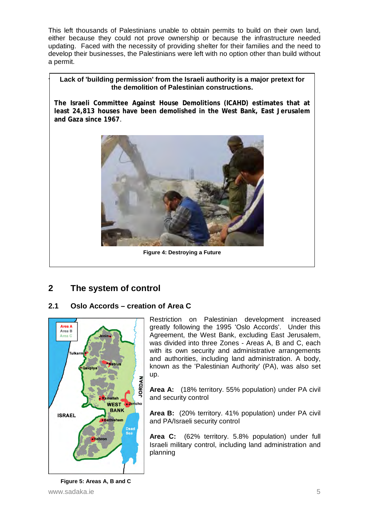This left thousands of Palestinians unable to obtain permits to build on their own land, either because they could not prove ownership or because the infrastructure needed updating. Faced with the necessity of providing shelter for their families and the need to develop their businesses, the Palestinians were left with no option other than build without a permit.

#### **Lack of 'building permission' from the Israeli authority is a major pretext for the demolition of Palestinian constructions.**

**The Israeli Committee Against House Demolitions (ICAHD) estimates that at least 24,813 houses have been demolished in the West Bank, East Jerusalem and Gaza since 1967**.



**Figure 4: Destroying a Future**

## <span id="page-5-0"></span>**2 The system of control**

**.** 

## <span id="page-5-1"></span>**2.1 Oslo Accords – creation of Area C**



Restriction on Palestinian development increased greatly following the 1995 'Oslo Accords'. Under this Agreement, the West Bank, excluding East Jerusalem, was divided into three Zones - Areas A, B and C, each with its own security and administrative arrangements and authorities, including land administration. A body, known as the 'Palestinian Authority' (PA), was also set up.

**Area A:** (18% territory. 55% population) under PA civil and security control

**Area B:** (20% territory. 41% population) under PA civil and PA/Israeli security control

**Area C:** (62% territory. 5.8% population) under full Israeli military control, including land administration and planning

www.sadaka.ie 5 **Figure 5: Areas A, B and C**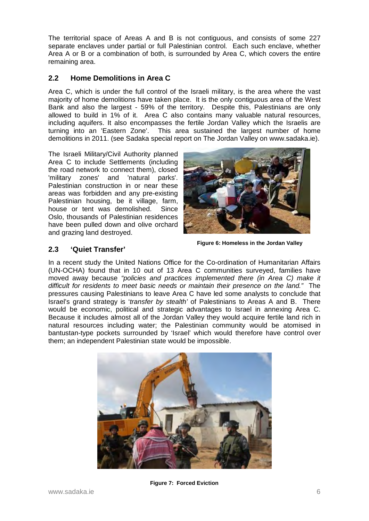The territorial space of Areas A and B is not contiguous, and consists of some 227 separate enclaves under partial or full Palestinian control. Each such enclave, whether Area A or B or a combination of both, is surrounded by Area C, which covers the entire remaining area.

## <span id="page-6-0"></span>**2.2 Home Demolitions in Area C**

Area C, which is under the full control of the Israeli military, is the area where the vast majority of home demolitions have taken place. It is the only contiguous area of the West Bank and also the largest - 59% of the territory. Despite this, Palestinians are only allowed to build in 1% of it. Area C also contains many valuable natural resources, including aquifers. It also encompasses the fertile Jordan Valley which the Israelis are turning into an 'Eastern Zone'. This area sustained the largest number of home demolitions in 2011. (see Sadaka special report on The Jordan Valley on www.sadaka.ie).

The Israeli Military/Civil Authority planned Area C to include Settlements (including the road network to connect them), closed 'military zones' and 'natural parks'. Palestinian construction in or near these areas was forbidden and any pre-existing Palestinian housing, be it village, farm, house or tent was demolished. Since Oslo, thousands of Palestinian residences have been pulled down and olive orchard and grazing land destroyed.



**Figure 6: Homeless in the Jordan Valley**

## <span id="page-6-1"></span>**2.3 'Quiet Transfer'**

In a recent study the United Nations Office for the Co-ordination of Humanitarian Affairs (UN-OCHA) found that in 10 out of 13 Area C communities surveyed, families have moved away because *"policies and practices implemented there (in Area C) make it difficult for residents to meet basic needs or maintain their presence on the land."* The pressures causing Palestinians to leave Area C have led some analysts to conclude that Israel's grand strategy is '*transfer by stealth'* of Palestinians to Areas A and B. There would be economic, political and strategic advantages to Israel in annexing Area C. Because it includes almost all of the Jordan Valley they would acquire fertile land rich in natural resources including water; the Palestinian community would be atomised in bantustan-type pockets surrounded by 'Israel' which would therefore have control over them; an independent Palestinian state would be impossible.



**Figure 7: Forced Eviction**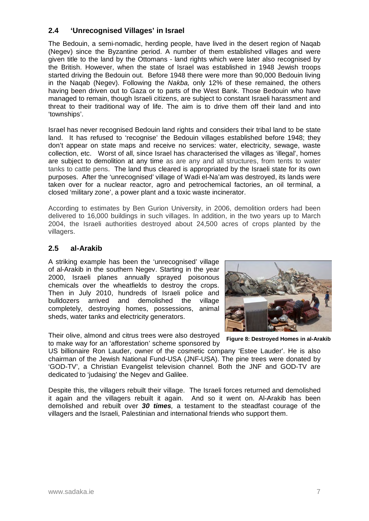## **2.4 'Unrecognised Villages' in Israel**

<span id="page-7-0"></span>The Bedouin, a semi-nomadic, herding people, have lived in the desert region of Naqab (Negev) since the Byzantine period. A number of them established villages and were given title to the land by the Ottomans - land rights which were later also recognised by the British. However, when the state of Israel was established in 1948 Jewish troops started driving the Bedouin out. Before 1948 there were more than 90,000 Bedouin living in the Naqab (Negev). Following the *Nakba,* only 12% of these remained, the others having been driven out to Gaza or to parts of the West Bank. Those Bedouin who have managed to remain, though Israeli citizens, are subject to constant Israeli harassment and threat to their traditional way of life. The aim is to drive them off their land and into 'townships'.

Israel has never recognised Bedouin land rights and considers their tribal land to be state land. It has refused to 'recognise' the Bedouin villages established before 1948; they don't appear on state maps and receive no services: water, electricity, sewage, waste collection, etc. Worst of all, since Israel has characterised the villages as 'illegal', homes are subject to demolition at any time as are any and all structures, from tents to water tanks to cattle pens. The land thus cleared is appropriated by the Israeli state for its own purposes. After the 'unrecognised' village of Wadi el-Na'am was destroyed, its lands were taken over for a nuclear reactor, agro and petrochemical factories, an oil terminal, a closed 'military zone', a power plant and a toxic waste incinerator.

According to estimates by Ben Gurion University, in 2006, demolition orders had been delivered to 16,000 buildings in such villages. In addition, in the two years up to March 2004, the Israeli authorities destroyed about 24,500 acres of crops planted by the villagers.

### <span id="page-7-1"></span>**2.5 al-Arakib**

A striking example has been the 'unrecognised' village of al-Arakib in the southern Negev. Starting in the year 2000, Israeli planes annually sprayed poisonous chemicals over the wheatfields to destroy the crops. Then in July 2010, hundreds of Israeli police and bulldozers arrived and demolished the village completely, destroying homes, possessions, animal sheds, water tanks and electricity generators.

Their olive, almond and citrus trees were also destroyed to make way for an 'afforestation' scheme sponsored by

US billionaire Ron Lauder, owner of the cosmetic company 'Estee Lauder'. He is also chairman of the Jewish National Fund-USA (JNF-USA). The pine trees were donated by 'GOD-TV', a Christian Evangelist television channel. Both the JNF and GOD-TV are dedicated to 'judaising' the Negev and Galilee.

Despite this, the villagers rebuilt their village. The Israeli forces returned and demolished it again and the villagers rebuilt it again. And so it went on. Al-Arakib has been demolished and rebuilt over *30 times,* a testament to the steadfast courage of the villagers and the Israeli, Palestinian and international friends who support them.



**Figure 8: Destroyed Homes in al-Arakib**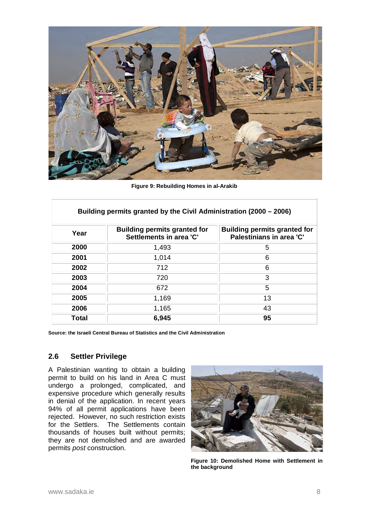

**Figure 9: Rebuilding Homes in al-Arakib**

| Building permits granted by the Civil Administration (2000 – 2006) |                                                                |                                                                 |  |  |  |  |
|--------------------------------------------------------------------|----------------------------------------------------------------|-----------------------------------------------------------------|--|--|--|--|
| Year                                                               | <b>Building permits granted for</b><br>Settlements in area 'C' | <b>Building permits granted for</b><br>Palestinians in area 'C' |  |  |  |  |
| 2000                                                               | 1,493                                                          | 5                                                               |  |  |  |  |
| 2001                                                               | 1,014                                                          | 6                                                               |  |  |  |  |
| 2002                                                               | 712                                                            | 6                                                               |  |  |  |  |
| 2003                                                               | 720                                                            | 3                                                               |  |  |  |  |
| 2004                                                               | 672                                                            | 5                                                               |  |  |  |  |
| 2005                                                               | 1,169                                                          | 13                                                              |  |  |  |  |
| 2006                                                               | 1,165                                                          | 43                                                              |  |  |  |  |
| Total                                                              | 6,945                                                          | 95                                                              |  |  |  |  |

**Source: the Israeli Central Bureau of Statistics and the Civil Administration**

#### <span id="page-8-0"></span>**2.6 Settler Privilege**

<span id="page-8-1"></span>A Palestinian wanting to obtain a building permit to build on his land in Area C must undergo a prolonged, complicated, and expensive procedure which generally results in denial of the application. In recent years 94% of all permit applications have been rejected. However, no such restriction exists for the Settlers. The Settlements contain thousands of houses built without permits; they are not demolished and are awarded permits *post* construction.



**Figure 10: Demolished Home with Settlement in the background**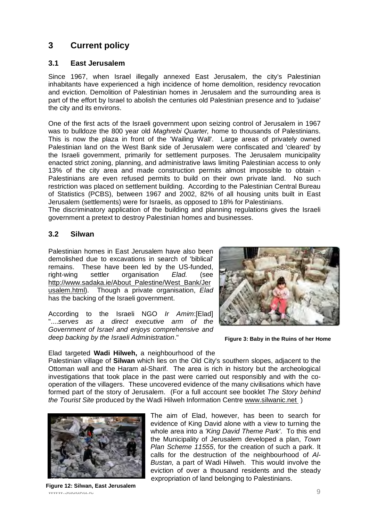## **3 Current policy**

## <span id="page-9-0"></span>**3.1 East Jerusalem**

Since 1967, when Israel illegally annexed East Jerusalem, the city's Palestinian inhabitants have experienced a high incidence of home demolition, residency revocation and eviction. Demolition of Palestinian homes in Jerusalem and the surrounding area is part of the effort by Israel to abolish the centuries old Palestinian presence and to 'judaise' the city and its environs.

One of the first acts of the Israeli government upon seizing control of Jerusalem in 1967 was to bulldoze the 800 year old *Maghrebi Quarter,* home to thousands of Palestinians. This is now the plaza in front of the 'Wailing Wall'. Large areas of privately owned Palestinian land on the West Bank side of Jerusalem were confiscated and 'cleared' by the Israeli government, primarily for settlement purposes. The Jerusalem municipality enacted strict zoning, planning, and administrative laws limiting Palestinian access to only 13% of the city area and made construction permits almost impossible to obtain - Palestinians are even refused permits to build on their own private land. No such restriction was placed on settlement building. According to the Palestinian Central Bureau of Statistics (PCBS), between 1967 and 2002, 82% of all housing units built in East Jerusalem (settlements) were for Israelis, as opposed to 18% for Palestinians.

The discriminatory application of the building and planning regulations gives the Israeli government a pretext to destroy Palestinian homes and businesses.

## <span id="page-9-1"></span>**3.2 Silwan**

Palestinian homes in East Jerusalem have also been demolished due to excavations in search of 'biblical' remains. These have been led by the US-funded,<br>right-wing settler organisation Elad. (see right-wing settler organisation *Elad.* (see [http://www.sadaka.ie/About\\_Palestine/West\\_Bank/Jer](http://www.sadaka.ie/About_Palestine/West_Bank/Jerusalem.html)<br>usalem.html). Though a private organisation. Elag Though a private organisation, *Elad* has the backing of the Israeli government.

According to the Israeli NGO *Ir Amim*:[Elad] "....*serves as a direct executive arm of the Government of Israel and enjoys comprehensive and deep backing by the Israeli Administration*."



Palestinian village of **Silwan** which lies on the Old City's southern slopes, adjacent to the Ottoman wall and the Haram al-Sharif. The area is rich in history but the archeological investigations that took place in the past were carried out responsibly and with the cooperation of the villagers. These uncovered evidence of the many civilisations which have formed part of the story of Jerusalem. (For a full account see booklet *The Story behind the Tourist Site* produced by the Wadi Hilweh Information Centre www.silwanic.net )



www.saughai.i<del>c</del> 9 **Figure 12: Silwan, East Jerusalem**



**Figure 3: Baby in the Ruins of her Home**

The aim of Elad, however, has been to search for evidence of King David alone with a view to turning the

*Plan Scheme 11555*, for the creation of such a park. It calls for the destruction of the neighbourhood of *Al-Bustan,* a part of Wadi Hilweh. This would involve the eviction of over a thousand residents and the steady

expropriation of land belonging to Palestinians.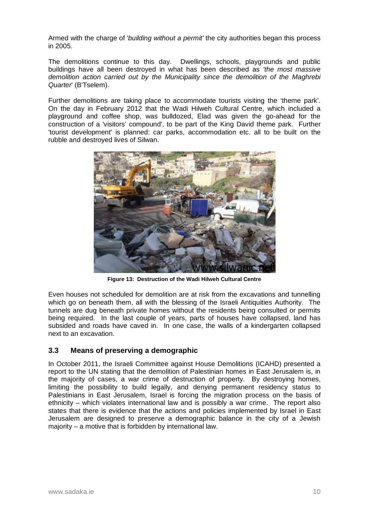Armed with the charge of '*building without a permit'* the city authorities began this process in 2005.

The demolitions continue to this day. Dwellings, schools, playgrounds and public buildings have all been destroyed in what has been described as *'the most massive demolition action carried out by the Municipality since the demolition of the Maghrebi Quarter*' (B'Tselem).

Further demolitions are taking place to accommodate tourists visiting the 'theme park'. On the day in February 2012 that the Wadi Hilweh Cultural Centre, which included a playground and coffee shop, was bulldozed, Elad was given the go-ahead for the construction of a 'visitors' compound', to be part of the King David theme park. Further 'tourist development' is planned: car parks, accommodation etc. all to be built on the rubble and destroyed lives of Silwan.



**Figure 13: Destruction of the Wadi Hilweh Cultural Centre**

Even houses not scheduled for demolition are at risk from the excavations and tunnelling which go on beneath them, all with the blessing of the Israeli Antiquities Authority. The tunnels are dug beneath private homes without the residents being consulted or permits being required. In the last couple of years, parts of houses have collapsed, land has subsided and roads have caved in. In one case, the walls of a kindergarten collapsed next to an excavation.

## <span id="page-10-0"></span>**3.3 Means of preserving a demographic**

In October 2011, the Israeli Committee against House Demolitions (ICAHD) presented a report to the UN stating that the demolition of Palestinian homes in East Jerusalem is, in the majority of cases, a war crime of destruction of property. By destroying homes, limiting the possibility to build legally, and denying permanent residency status to Palestinians in East Jerusalem, Israel is forcing the migration process on the basis of ethnicity – which violates international law and is possibly a war crime. The report also states that there is evidence that the actions and policies implemented by Israel in East Jerusalem are designed to preserve a demographic balance in the city of a Jewish majority – a motive that is forbidden by international law.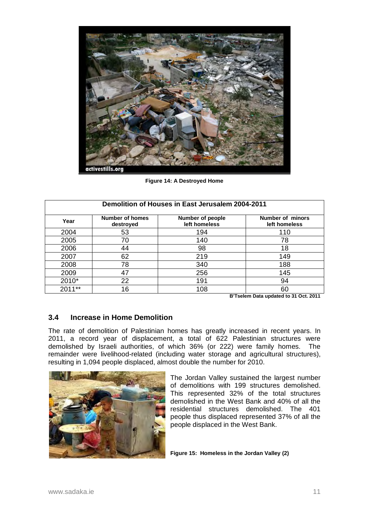

**Figure 14: A Destroyed Home**

| Demolition of Houses in East Jerusalem 2004-2011 |                                     |                                          |                                   |  |  |  |  |
|--------------------------------------------------|-------------------------------------|------------------------------------------|-----------------------------------|--|--|--|--|
| Year                                             | <b>Number of homes</b><br>destroyed | <b>Number of people</b><br>left homeless | Number of minors<br>left homeless |  |  |  |  |
| 2004                                             | 53                                  | 194                                      | 110                               |  |  |  |  |
| 2005                                             | 70                                  | 140                                      | 78                                |  |  |  |  |
| 2006                                             | 44                                  | 98                                       | 18                                |  |  |  |  |
| 2007                                             | 62                                  | 219                                      | 149                               |  |  |  |  |
| 2008                                             | 78                                  | 340                                      | 188                               |  |  |  |  |
| 2009                                             | 47                                  | 256                                      | 145                               |  |  |  |  |
| 2010*                                            | 22                                  | 191                                      | 94                                |  |  |  |  |
| 2011**                                           | 16                                  | 108                                      | 60                                |  |  |  |  |

**B'Tselem Data updated to 31 Oct. 2011**

## <span id="page-11-0"></span>**3.4 Increase in Home Demolition**

The rate of demolition of Palestinian homes has greatly increased in recent years. In 2011, a record year of displacement, a total of 622 Palestinian structures were demolished by Israeli authorities, of which 36% (or 222) were family homes. The remainder were livelihood-related (including water storage and agricultural structures), resulting in 1,094 people displaced, almost double the number for 2010.



The Jordan Valley sustained the largest number of demolitions with 199 structures demolished. This represented 32% of the total structures demolished in the West Bank and 40% of all the residential structures demolished. The 401 people thus displaced represented 37% of all the people displaced in the West Bank.

**Figure 15: Homeless in the Jordan Valley (2)**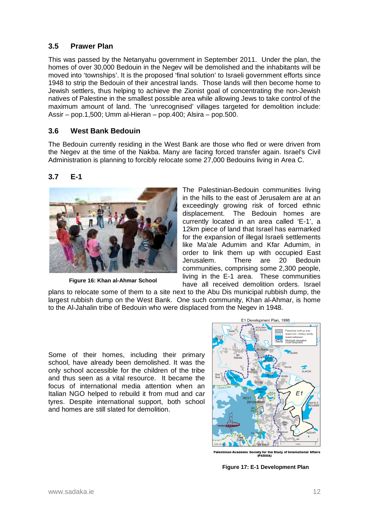## <span id="page-12-0"></span>**3.5 Prawer Plan**

This was passed by the Netanyahu government in September 2011. Under the plan, the homes of over 30,000 Bedouin in the Negev will be demolished and the inhabitants will be moved into 'townships'. It is the proposed 'final solution' to Israeli government efforts since 1948 to strip the Bedouin of their ancestral lands. Those lands will then become home to Jewish settlers, thus helping to achieve the Zionist goal of concentrating the non-Jewish natives of Palestine in the smallest possible area while allowing Jews to take control of the maximum amount of land. The 'unrecognised' villages targeted for demolition include: Assir – pop.1,500; Umm al-Hieran – pop.400; Alsira – pop.500.

## <span id="page-12-1"></span>**3.6 West Bank Bedouin**

The Bedouin currently residing in the West Bank are those who fled or were driven from the Negev at the time of the Nakba. Many are facing forced transfer again. Israel's Civil Administration is planning to forcibly relocate some 27,000 Bedouins living in Area C.

## <span id="page-12-2"></span>**3.7 E-1**



**Figure 16: Khan al-Ahmar School**

The Palestinian-Bedouin communities living in the hills to the east of Jerusalem are at an exceedingly growing risk of forced ethnic displacement. The Bedouin homes are currently located in an area called 'E-1', a 12km piece of land that Israel has earmarked for the expansion of illegal Israeli settlements like Ma'ale Adumim and Kfar Adumim, in order to link them up with occupied East Jerusalem. There are 20 Bedouin communities, comprising some 2,300 people, living in the E-1 area. These communities have all received demolition orders. Israel

plans to relocate some of them to a site next to the Abu Dis municipal rubbish dump, the largest rubbish dump on the West Bank. One such community, Khan al-Ahmar, is home to the Al-Jahalin tribe of Bedouin who were displaced from the Negev in 1948.

<span id="page-12-3"></span>Some of their homes, including their primary school, have already been demolished. It was the only school accessible for the children of the tribe and thus seen as a vital resource. It became the focus of international media attention when an Italian NGO helped to rebuild it from mud and car tyres. Despite international support, both school and homes are still slated for demolition.



iety for the Study of International Affa<br>(PASSIA)

**Figure 17: E-1 Development Plan**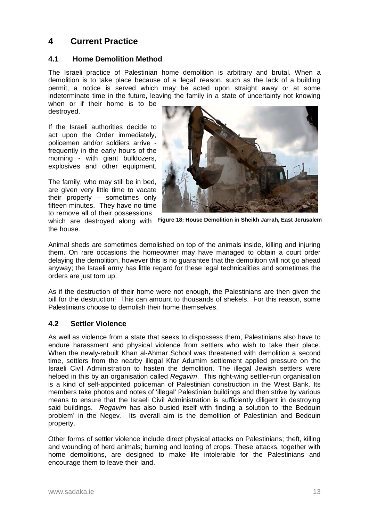## **4 Current Practice**

## <span id="page-13-0"></span>**4.1 Home Demolition Method**

The Israeli practice of Palestinian home demolition is arbitrary and brutal. When a demolition is to take place because of a 'legal' reason, such as the lack of a building permit, a notice is served which may be acted upon straight away or at some indeterminate time in the future, leaving the family in a state of uncertainty not knowing

when or if their home is to be destroyed.

If the Israeli authorities decide to act upon the Order immediately, policemen and/or soldiers arrive frequently in the early hours of the morning - with giant bulldozers, explosives and other equipment.

The family, who may still be in bed, are given very little time to vacate their property – sometimes only fifteen minutes. They have no time to remove all of their possessions



which are destroyed along with **Figure 18: House Demolition in Sheikh Jarrah, East Jerusalem**

Animal sheds are sometimes demolished on top of the animals inside, killing and injuring them. On rare occasions the homeowner may have managed to obtain a court order delaying the demolition, however this is no guarantee that the demolition will not go ahead anyway; the Israeli army has little regard for these legal technicalities and sometimes the orders are just torn up.

As if the destruction of their home were not enough, the Palestinians are then given the bill for the destruction! This can amount to thousands of shekels. For this reason, some Palestinians choose to demolish their home themselves.

## <span id="page-13-1"></span>**4.2 Settler Violence**

the house.

As well as violence from a state that seeks to dispossess them, Palestinians also have to endure harassment and physical violence from settlers who wish to take their place. When the newly-rebuilt Khan al-Ahmar School was threatened with demolition a second time, settlers from the nearby illegal Kfar Adumim settlement applied pressure on the Israeli Civil Administration to hasten the demolition. The illegal Jewish settlers were helped in this by an organisation called *Regavim*. This right-wing settler-run organisation is a kind of self-appointed policeman of Palestinian construction in the West Bank. Its members take photos and notes of 'illegal' Palestinian buildings and then strive by various means to ensure that the Israeli Civil Administration is sufficiently diligent in destroying said buildings. *Regavim* has also busied itself with finding a solution to 'the Bedouin problem' in the Negev. Its overall aim is the demolition of Palestinian and Bedouin property.

<span id="page-13-2"></span>Other forms of settler violence include direct physical attacks on Palestinians; theft, killing and wounding of herd animals; burning and looting of crops. These attacks, together with home demolitions, are designed to make life intolerable for the Palestinians and encourage them to leave their land.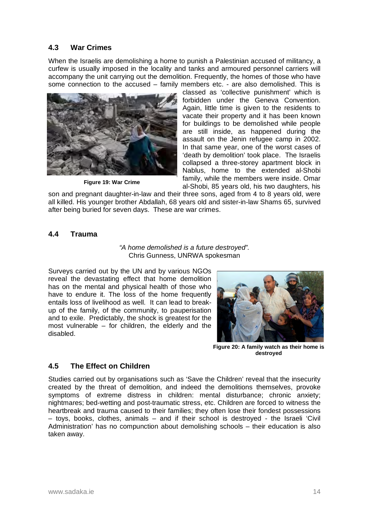## **4.3 War Crimes**

When the Israelis are demolishing a home to punish a Palestinian accused of militancy, a curfew is usually imposed in the locality and tanks and armoured personnel carriers will accompany the unit carrying out the demolition. Frequently, the homes of those who have some connection to the accused – family members etc. - are also demolished. This is



**Figure 19: War Crime**

classed as 'collective punishment' which is forbidden under the Geneva Convention. Again, little time is given to the residents to vacate their property and it has been known for buildings to be demolished while people are still inside, as happened during the assault on the Jenin refugee camp in 2002. In that same year, one of the worst cases of 'death by demolition' took place. The Israelis collapsed a three-storey apartment block in Nablus, home to the extended al-Shobi family, while the members were inside. Omar al-Shobi, 85 years old, his two daughters, his

son and pregnant daughter-in-law and their three sons, aged from 4 to 8 years old, were all killed. His younger brother Abdallah, 68 years old and sister-in-law Shams 65, survived after being buried for seven days. These are war crimes.

## <span id="page-14-0"></span>**4.4 Trauma**

#### *"A home demolished is a future destroyed".*  Chris Gunness, UNRWA spokesman

Surveys carried out by the UN and by various NGOs reveal the devastating effect that home demolition has on the mental and physical health of those who have to endure it. The loss of the home frequently entails loss of livelihood as well. It can lead to breakup of the family, of the community, to pauperisation and to exile. Predictably, the shock is greatest for the most vulnerable – for children, the elderly and the disabled.



**Figure 20: A family watch as their home is destroyed**

## <span id="page-14-1"></span>**4.5 The Effect on Children**

Studies carried out by organisations such as 'Save the Children' reveal that the insecurity created by the threat of demolition, and indeed the demolitions themselves, provoke symptoms of extreme distress in children: mental disturbance; chronic anxiety; nightmares; bed-wetting and post-traumatic stress, etc. Children are forced to witness the heartbreak and trauma caused to their families; they often lose their fondest possessions – toys, books, clothes, animals – and if their school is destroyed - the Israeli 'Civil Administration' has no compunction about demolishing schools – their education is also taken away.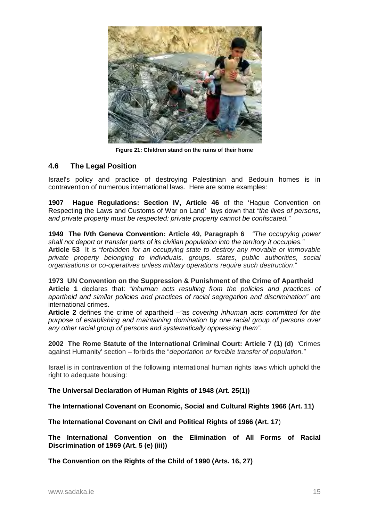

**Figure 21: Children stand on the ruins of their home**

## <span id="page-15-0"></span>**4.6 The Legal Position**

Israel's policy and practice of destroying Palestinian and Bedouin homes is in contravention of numerous international laws. Here are some examples:

**1907 Hague Regulations: Section IV, Article 46** of the 'Hague Convention on Respecting the Laws and Customs of War on Land' lays down that *"the lives of persons, and private property must be respected: private property cannot be confiscated."* 

**1949 The IVth Geneva Convention: Article 49, Paragraph 6** *"The occupying power shall not deport or transfer parts of its civilian population into the territory it occupies."* **Article 53** It is *"forbidden for an occupying state to destroy any movable or immovable private property belonging to individuals, groups, states, public authorities, social organisations or co-operatives unless military operations require such destruction*."

**1973 UN Convention on the Suppression & Punishment of the Crime of Apartheid Article 1** declares that: "*inhuman acts resulting from the policies and practices of apartheid and similar policies and practices of racial segregation and discrimination"* are international crimes.

**Article 2** defines the crime of apartheid *–"as covering inhuman acts committed for the purpose of establishing and maintaining domination by one racial group of persons over any other racial group of persons and systematically oppressing them".*

**2002 The Rome Statute of the International Criminal Court: Article 7 (1) (d)** 'Crimes against Humanity' section – forbids the "*deportation or forcible transfer of population."*

Israel is in contravention of the following international human rights laws which uphold the right to adequate housing:

**The Universal Declaration of Human Rights of 1948 (Art. 25(1))** 

**The International Covenant on Economic, Social and Cultural Rights 1966 (Art. 11)** 

**The International Covenant on Civil and Political Rights of 1966 (Art. 17**)

**The International Convention on the Elimination of All Forms of Racial Discrimination of 1969 (Art. 5 (e) (iii))** 

**The Convention on the Rights of the Child of 1990 (Arts. 16, 27)**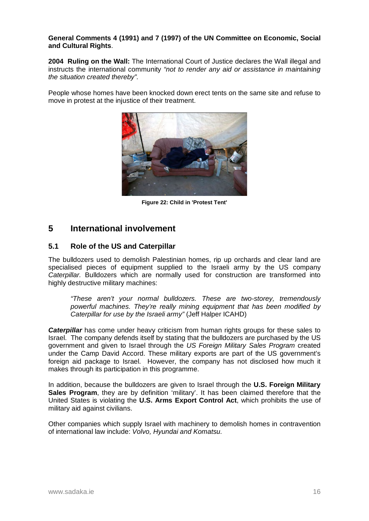#### **General Comments 4 (1991) and 7 (1997) of the UN Committee on Economic, Social and Cultural Rights**.

**2004 Ruling on the Wall:** The International Court of Justice declares the Wall illegal and instructs the international community *"not to render any aid or assistance in maintaining the situation created thereby".*

People whose homes have been knocked down erect tents on the same site and refuse to move in protest at the injustice of their treatment.



**Figure 22: Child in 'Protest Tent'**

## <span id="page-16-0"></span>**5 International involvement**

## <span id="page-16-1"></span>**5.1 Role of the US and Caterpillar**

The bulldozers used to demolish Palestinian homes, rip up orchards and clear land are specialised pieces of equipment supplied to the Israeli army by the US company *Caterpillar.* Bulldozers which are normally used for construction are transformed into highly destructive military machines:

*"These aren't your normal bulldozers. These are two-storey, tremendously powerful machines. They're really mining equipment that has been modified by Caterpillar for use by the Israeli army"* (Jeff Halper ICAHD)

*Caterpillar* has come under heavy criticism from human rights groups for these sales to Israel. The company defends itself by stating that the bulldozers are purchased by the US government and given to Israel through the *US Foreign Military Sales Program* created under the Camp David Accord. These military exports are part of the US government's foreign aid package to Israel. However, the company has not disclosed how much it makes through its participation in this programme.

In addition, because the bulldozers are given to Israel through the **U.S. Foreign Military Sales Program**, they are by definition 'military'. It has been claimed therefore that the United States is violating the **U.S. Arms Export Control Act**, which prohibits the use of military aid against civilians.

Other companies which supply Israel with machinery to demolish homes in contravention of international law include: *Volvo, Hyundai and Komatsu.*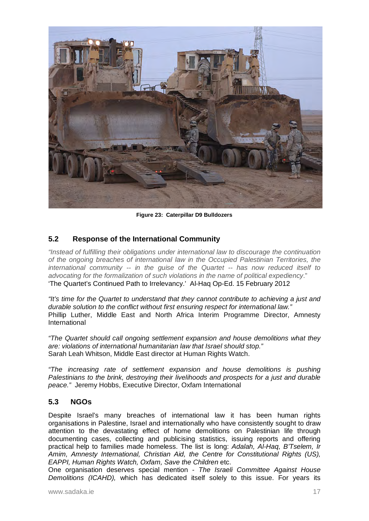

**Figure 23: Caterpillar D9 Bulldozers**

## <span id="page-17-0"></span>**5.2 lResponse of the International Community**

*"Instead of fulfilling their obligations under international law to discourage the continuation of the ongoing breaches of international law in the Occupied Palestinian Territories, the international community -- in the guise of the Quartet -- has now reduced itself to advocating for the formalization of such violations in the name of political expediency*." 'The Quartet's Continued Path to Irrelevancy.' Al-Haq Op-Ed. 15 February 2012

*"It's time for the Quartet to understand that they cannot contribute to achieving a just and durable solution to the conflict without first ensuring respect for international law."*  Phillip Luther, Middle East and North Africa Interim Programme Director, Amnesty International

*"The Quartet should call ongoing settlement expansion and house demolitions what they are: violations of international humanitarian law that Israel should stop."* Sarah Leah Whitson, Middle East director at Human Rights Watch.

*"The increasing rate of settlement expansion and house demolitions is pushing Palestinians to the brink, destroying their livelihoods and prospects for a just and durable peace."* Jeremy Hobbs, Executive Director, Oxfam International

## <span id="page-17-1"></span>**5.3 NGOs**

Despite Israel's many breaches of international law it has been human rights organisations in Palestine, Israel and internationally who have consistently sought to draw attention to the devastating effect of home demolitions on Palestinian life through documenting cases, collecting and publicising statistics, issuing reports and offering practical help to families made homeless. The list is long: *Adalah, Al-Haq, B'Tselem, Ir Amim, Amnesty International, Christian Aid, the Centre for Constitutional Rights (US), EAPPI, Human Rights Watch, Oxfam, Save the Children* etc.

One organisation deserves special mention - *The Israeli Committee Against House Demolitions (ICAHD),* which has dedicated itself solely to this issue. For years its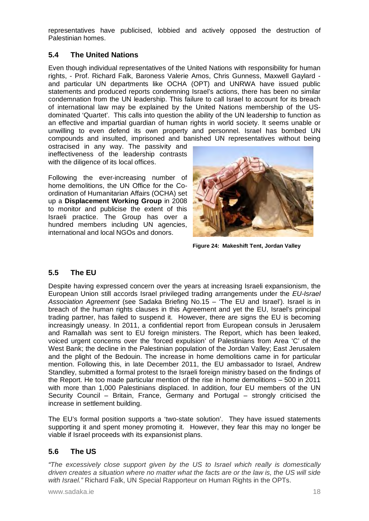representatives have publicised, lobbied and actively opposed the destruction of Palestinian homes.

## <span id="page-18-0"></span>**5.4 The United Nations**

Even though individual representatives of the United Nations with responsibility for human rights, - Prof. Richard Falk, Baroness Valerie Amos, Chris Gunness, Maxwell Gaylard and particular UN departments like OCHA (OPT) and UNRWA have issued public statements and produced reports condemning Israel's actions, there has been no similar condemnation from the UN leadership. This failure to call Israel to account for its breach of international law may be explained by the United Nations membership of the USdominated 'Quartet'. This calls into question the ability of the UN leadership to function as an effective and impartial guardian of human rights in world society. It seems unable or unwilling to even defend its own property and personnel. Israel has bombed UN compounds and insulted, imprisoned and banished UN representatives without being

ostracised in any way. The passivity and ineffectiveness of the leadership contrasts with the diligence of its local offices.

Following the ever-increasing number of home demolitions, the UN Office for the Coordination of Humanitarian Affairs (OCHA) set up a **Displacement Working Group** in 2008 to monitor and publicise the extent of this Israeli practice. The Group has over a hundred members including UN agencies, international and local NGOs and donors.



**Figure 24: Makeshift Tent, Jordan Valley**

## <span id="page-18-1"></span>**5.5 The EU**

Despite having expressed concern over the years at increasing Israeli expansionism, the European Union still accords Israel privileged trading arrangements under the *EU-Israel Association Agreement* (see Sadaka Briefing No.15 – 'The EU and Israel'). Israel is in breach of the human rights clauses in this Agreement and yet the EU, Israel's principal trading partner, has failed to suspend it. However, there are signs the EU is becoming increasingly uneasy. In 2011, a confidential report from European consuls in Jerusalem and Ramallah was sent to EU foreign ministers. The Report, which has been leaked, voiced urgent concerns over the 'forced expulsion' of Palestinians from Area 'C' of the West Bank; the decline in the Palestinian population of the Jordan Valley; East Jerusalem and the plight of the Bedouin. The increase in home demolitions came in for particular mention. Following this, in late December 2011, the EU ambassador to Israel, Andrew Standley, submitted a formal protest to the Israeli foreign ministry based on the findings of the Report. He too made particular mention of the rise in home demolitions – 500 in 2011 with more than 1,000 Palestinians displaced. In addition, four EU members of the UN Security Council – Britain, France, Germany and Portugal – strongly criticised the increase in settlement building.

The EU's formal position supports a 'two-state solution'. They have issued statements supporting it and spent money promoting it. However, they fear this may no longer be viable if Israel proceeds with its expansionist plans.

## <span id="page-18-2"></span>**5.6 The US**

*"The excessively close support given by the US to Israel which really is domestically driven creates a situation where no matter what the facts are or the law is, the US will side with Israel."* Richard Falk, UN Special Rapporteur on Human Rights in the OPTs.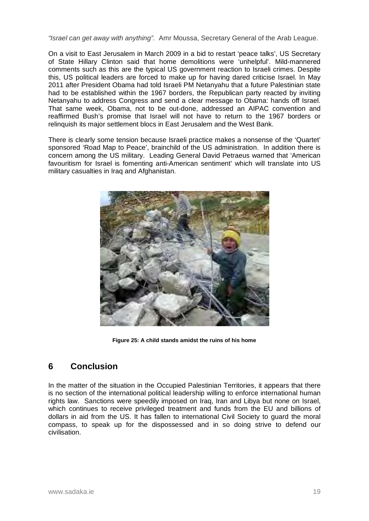*"Israel can get away with anything".* Amr Moussa, Secretary General of the Arab League.

On a visit to East Jerusalem in March 2009 in a bid to restart 'peace talks', US Secretary of State Hillary Clinton said that home demolitions were 'unhelpful'. Mild-mannered comments such as this are the typical US government reaction to Israeli crimes. Despite this, US political leaders are forced to make up for having dared criticise Israel. In May 2011 after President Obama had told Israeli PM Netanyahu that a future Palestinian state had to be established within the 1967 borders, the Republican party reacted by inviting Netanyahu to address Congress and send a clear message to Obama: hands off Israel. That same week, Obama, not to be out-done, addressed an AIPAC convention and reaffirmed Bush's promise that Israel will not have to return to the 1967 borders or relinquish its major settlement blocs in East Jerusalem and the West Bank.

There is clearly some tension because Israeli practice makes a nonsense of the 'Quartet' sponsored 'Road Map to Peace', brainchild of the US administration. In addition there is concern among the US military. Leading General David Petraeus warned that 'American favouritism for Israel is fomenting anti-American sentiment' which will translate into US military casualties in Iraq and Afghanistan.



**Figure 25: A child stands amidst the ruins of his home**

## <span id="page-19-0"></span>**6 Conclusion**

In the matter of the situation in the Occupied Palestinian Territories, it appears that there is no section of the international political leadership willing to enforce international human rights law. Sanctions were speedily imposed on Iraq, Iran and Libya but none on Israel, which continues to receive privileged treatment and funds from the EU and billions of dollars in aid from the US. It has fallen to international Civil Society to guard the moral compass, to speak up for the dispossessed and in so doing strive to defend our civilisation.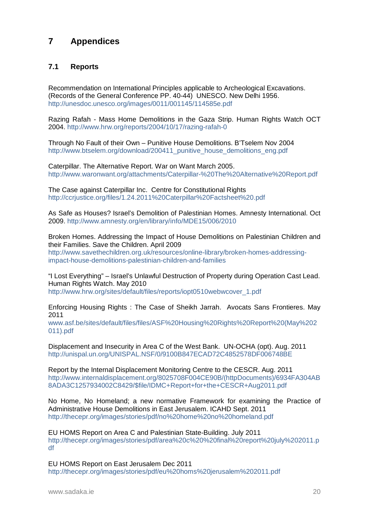## <span id="page-20-0"></span>**7 Appendices**

## **7.1 Reports**

Recommendation on International Principles applicable to Archeological Excavations. (Records of the General Conference PP. 40-44) UNESCO. New Delhi 1956. <http://unesdoc.unesco.org/images/0011/001145/114585e.pdf>

Razing Rafah - Mass Home Demolitions in the Gaza Strip. Human Rights Watch OCT 2004. <http://www.hrw.org/reports/2004/10/17/razing-rafah-0>

Through No Fault of their Own – Punitive House Demolitions. B'Tselem Nov 2004 [http://www.btselem.org/download/200411\\_punitive\\_house\\_demolitions\\_eng.pdf](http://www.btselem.org/download/200411_punitive_house_demolitions_eng.pdf)

Caterpillar. The Alternative Report. War on Want March 2005. <http://www.waronwant.org/attachments/Caterpillar-%20The%20Alternative%20Report.pdf>

The Case against Caterpillar Inc. Centre for Constitutional Rights <http://ccrjustice.org/files/1.24.2011%20Caterpillar%20Factsheet%20.pdf>

As Safe as Houses? Israel's Demolition of Palestinian Homes. Amnesty International. Oct 2009. <http://www.amnesty.org/en/library/info/MDE15/006/2010>

Broken Homes. Addressing the Impact of House Demolitions on Palestinian Children and their Families. Save the Children. April 2009 [http://www.savethechildren.org.uk/resources/online-library/broken-homes-addressing](http://www.savethechildren.org.uk/resources/online-library/broken-homes-addressing-impact-h)[impact-ho](http://www.savethechildren.org.uk/resources/online-library/broken-homes-addressing-impact-h)use-demolitions-palestinian-children-and-families

"I Lost Everything" – Israel's Unlawful Destruction of Property during Operation Cast Lead. Human Rights Watch. May 2010 [http://www.hrw.org/sites/default/files/reports/iopt0510webwcover\\_1.pdf](http://www.hrw.org/sites/default/files/reports/iopt0510webwcover_1.pdf)

Enforcing Housing Rights : The Case of Sheikh Jarrah. Avocats Sans Frontieres. May 2011

[www.asf.be/sites/default/files/files/ASF%20Housing%20Rights%20Report%20\(May%202](http://www.asf.be/sites/default/files/files/ASF%20Housing%20Rights%20Report%20(May%202011).pdf) [011\).pdf](http://www.asf.be/sites/default/files/files/ASF%20Housing%20Rights%20Report%20(May%202011).pdf)

Displacement and Insecurity in Area C of the West Bank. UN-OCHA (opt). Aug. 2011 <http://unispal.un.org/UNISPAL.NSF/0/9100B847ECAD72C4852578DF006748BE>

Report by the Internal Displacement Monitoring Centre to the CESCR. Aug. 2011 [http://www.internaldisplacement.org/8025708F004CE90B/\(httpDocuments\)/6934FA304AB](http://www.internaldisplacement.org/8025708F004CE90B/(httpDocuments)/6934FA304AB8ADA3C1257934002C8429/$file/IDMC+Report+for+the+CESCR+Aug2011.pdf) [8ADA3C1257934002C8429/\\$file/IDMC+Report+for+the+CESCR+Aug2011.pdf](http://www.internaldisplacement.org/8025708F004CE90B/(httpDocuments)/6934FA304AB8ADA3C1257934002C8429/$file/IDMC+Report+for+the+CESCR+Aug2011.pdf)

No Home, No Homeland; a new normative Framework for examining the Practice of Administrative House Demolitions in East Jerusalem. ICAHD Sept. 2011 <http://thecepr.org/images/stories/pdf/no%20home%20no%20homeland.pdf>

EU HOMS Report on Area C and Palestinian State-Building. July 2011 [http://thecepr.org/images/stories/pdf/area%20c%20%20final%20report%20july%202011.p](http://thecepr.org/images/stories/pdf/area%20c%20%20final%20report%20july%202011.pdf) [df](http://thecepr.org/images/stories/pdf/area%20c%20%20final%20report%20july%202011.pdf)

EU HOMS Report on East Jerusalem Dec 2011 <http://thecepr.org/images/stories/pdf/eu%20homs%20jerusalem%202011.pdf>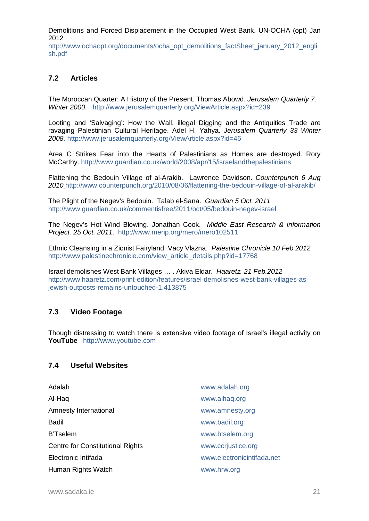Demolitions and Forced Displacement in the Occupied West Bank. UN-OCHA (opt) Jan 2012

[http://www.ochaopt.org/documents/ocha\\_opt\\_demolitions\\_factSheet\\_january\\_2012\\_engli](http://www.ochaopt.org/documents/ocha_opt_demolitions_factSheet_january_2012_english.pdf) [sh.pdf](http://www.ochaopt.org/documents/ocha_opt_demolitions_factSheet_january_2012_english.pdf)

## **7.2 Articles**

The Moroccan Quarter: A History of the Present. Thomas Abowd. *Jerusalem Quarterly 7. Winter 2000.* <http://www.jerusalemquarterly.org/ViewArticle.aspx?id=239>

Looting and 'Salvaging': How the Wall, illegal Digging and the Antiquities Trade are ravaging Palestinian Cultural Heritage. Adel H. Yahya. *Jerusalem Quarterly 33 Winter 2008*.<http://www.jerusalemquarterly.org/ViewArticle.aspx?id=46>

Area C Strikes Fear into the Hearts of Palestinians as Homes are destroyed. Rory McCarthy. <http://www.guardian.co.uk/world/2008/apr/15/israelandthepalestinians>

Flattening the Bedouin Village of al-Arakib. Lawrence Davidson. *Counterpunch 6 Aug 2010* <http://www.counterpunch.org/2010/08/06/flattening-the-bedouin-village-of-al-arakib/>

The Plight of the Negev's Bedouin. Talab el-Sana. *Guardian 5 Oct. 2011* <http://www.guardian.co.uk/commentisfree/2011/oct/05/bedouin-negev-israel>

The Negev's Hot Wind Blowing. Jonathan Cook. *Middle East Research & Information Project. 25 Oct. 2011*. <http://www.merip.org/mero/mero102511>

Ethnic Cleansing in a Zionist Fairyland. Vacy Vlazna. *Palestine Chronicle 10 Feb.2012* [http://www.palestinechronicle.com/view\\_article\\_details.php?id=17768](http://www.palestinechronicle.com/view_article_details.php?id=17768)

Israel demolishes West Bank Villages … . Akiva Eldar. *Haaretz. 21 Feb.2012* [http://www.haaretz.com/print-edition/features/israel-demolishes-west-bank-villages-as](http://www.haaretz.com/print-edition/features/israel-demolishes-west-bank-villages-as-jewish-outposts-remains-untouched-1.413875)[jewish-outposts-remains-untouched-1.413875](http://www.haaretz.com/print-edition/features/israel-demolishes-west-bank-villages-as-jewish-outposts-remains-untouched-1.413875)

## **7.3 Video Footage**

Though distressing to watch there is extensive video footage of Israel's illegal activity on **YouTube** [http://www.youtube.com](http://www.youtube.com/)

## **7.4 Useful Websites**

| Adalah                                  | www.adalah.org             |
|-----------------------------------------|----------------------------|
| Al-Haq                                  | www.alhaq.org              |
| Amnesty International                   | www.amnesty.org            |
| <b>Badil</b>                            | www.badil.org              |
| <b>B'Tselem</b>                         | www.btselem.org            |
| <b>Centre for Constitutional Rights</b> | www.ccrjustice.org         |
| Electronic Intifada                     | www.electronicintifada.net |
| Human Rights Watch                      | www.hrw.org                |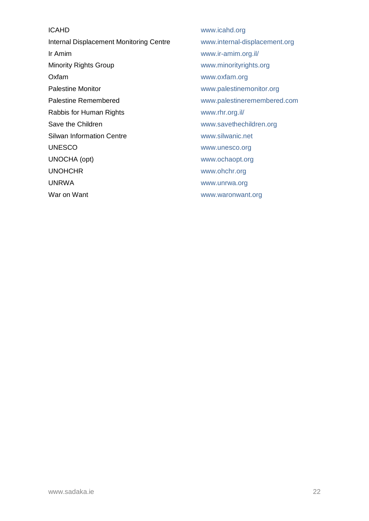- ICAHD [www.icahd.org](http://www.icahd.org/) Internal Displacement Monitoring Centre [www.internal-displacement.org](http://www.internal-displacement.org/) Ir Amim [www.ir-amim.org.il/](http://www.ir-amim.org.il/) Minority Rights Group [www.minorityrights.org](http://www.minorityrights.org/) Oxfam [www.oxfam.org](http://www.oxfam.org/) Palestine Monitor **Palestine Monitor** [www.palestinemonitor.org](http://www.palestinemonitor.org/) Palestine Remembered [www.palestineremembered.com](http://www.palestineremembered.com/) Rabbis for Human Rights **WALL CONGERVITE CONGERVITE** WWW.rhr.org.il/ Save the Children [www.savethechildren.org](http://www.savethechildren.org/) Silwan Information Centre **WALCONG CONTENT** WWW.silwanic.net UNESCO [www.unesco.org](http://www.unesco.org/) UNOCHA (opt) [www.ochaopt.org](http://www.ochaopt.org/) UNOHCHR [www.ohchr.org](http://www.ohchr.org/) UNRWA [www.unrwa.org](http://www.unrwa.org/) War on Want Want [www.waronwant.org](http://www.waronwant.org/)
-